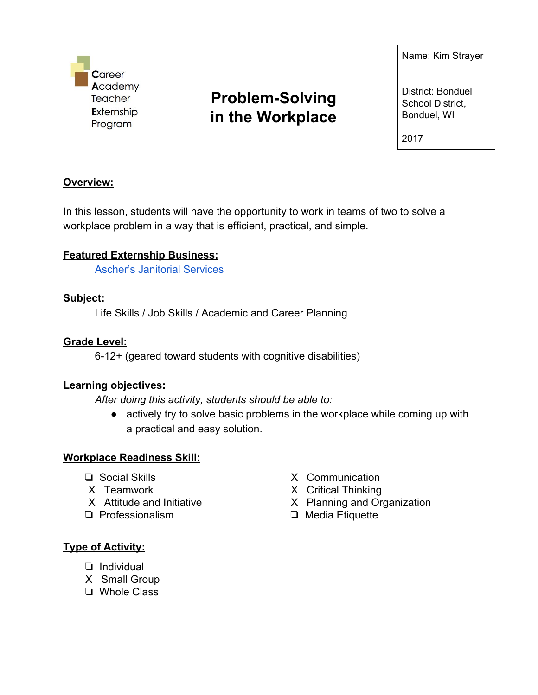

# **Problem-Solving in the Workplace**

Name: Kim Strayer

District: Bonduel School District, Bonduel, WI

2017

# **Overview:**

In this lesson, students will have the opportunity to work in teams of two to solve a workplace problem in a way that is efficient, practical, and simple.

# **Featured Externship Business:**

Ascher's [Janitorial](http://www.aschersjanitorial.com/janitorial/) Services

#### **Subject:**

Life Skills / Job Skills / Academic and Career Planning

#### **Grade Level:**

6-12+ (geared toward students with cognitive disabilities)

#### **Learning objectives:**

*After doing this activity, students should be able to:*

● actively try to solve basic problems in the workplace while coming up with a practical and easy solution.

#### **Workplace Readiness Skill:**

- ❏ Social Skills
- X Teamwork
- X Attitude and Initiative
- ❏ Professionalism
- X Communication
- X Critical Thinking
- X Planning and Organization
- ❏ Media Etiquette

#### **Type of Activity:**

- ❏ Individual
- X Small Group
- ❏ Whole Class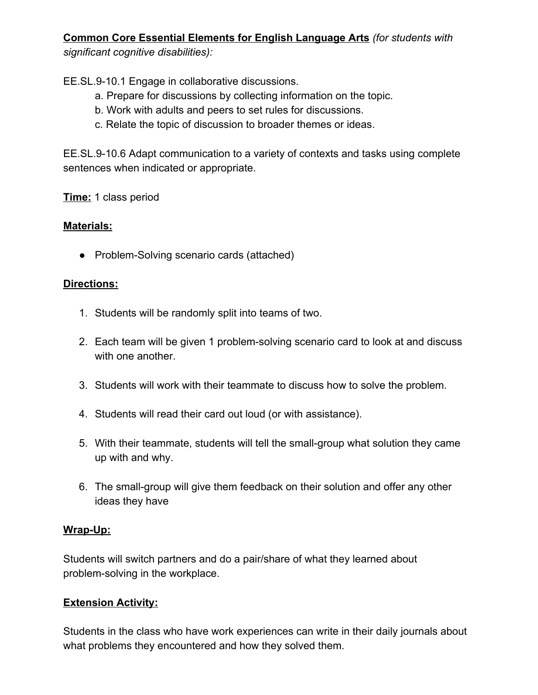# **Common Core Essential Elements for English Language Arts** *(for students with significant cognitive disabilities):*

EE.SL.9-10.1 Engage in collaborative discussions.

- a. Prepare for discussions by collecting information on the topic.
- b. Work with adults and peers to set rules for discussions.
- c. Relate the topic of discussion to broader themes or ideas.

EE.SL.9-10.6 Adapt communication to a variety of contexts and tasks using complete sentences when indicated or appropriate.

**Time:** 1 class period

# **Materials:**

● Problem-Solving scenario cards (attached)

# **Directions:**

- 1. Students will be randomly split into teams of two.
- 2. Each team will be given 1 problem-solving scenario card to look at and discuss with one another.
- 3. Students will work with their teammate to discuss how to solve the problem.
- 4. Students will read their card out loud (or with assistance).
- 5. With their teammate, students will tell the small-group what solution they came up with and why.
- 6. The small-group will give them feedback on their solution and offer any other ideas they have

#### **Wrap-Up:**

Students will switch partners and do a pair/share of what they learned about problem-solving in the workplace.

# **Extension Activity:**

Students in the class who have work experiences can write in their daily journals about what problems they encountered and how they solved them.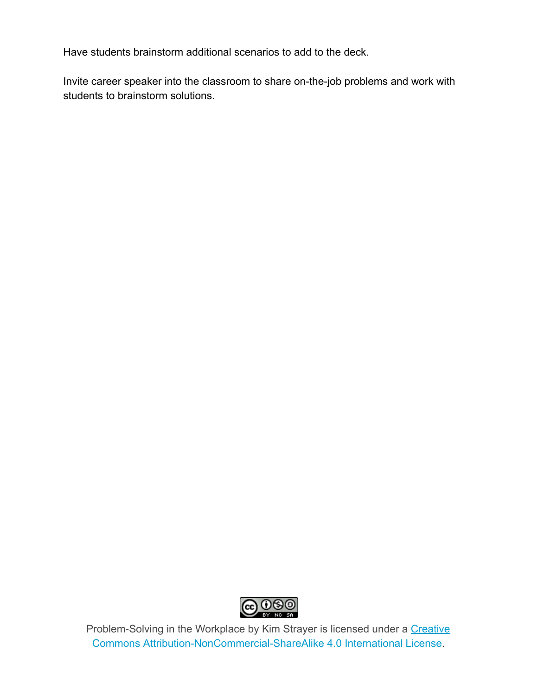Have students brainstorm additional scenarios to add to the deck.

Invite career speaker into the classroom to share on-the-job problems and work with students to brainstorm solutions.



Problem-Solving in the Workplace by Kim Strayer is licensed under a [Creative](http://creativecommons.org/licenses/by-nc-sa/4.0/) Commons [Attribution-NonCommercial-ShareAlike](http://creativecommons.org/licenses/by-nc-sa/4.0/) 4.0 International License.